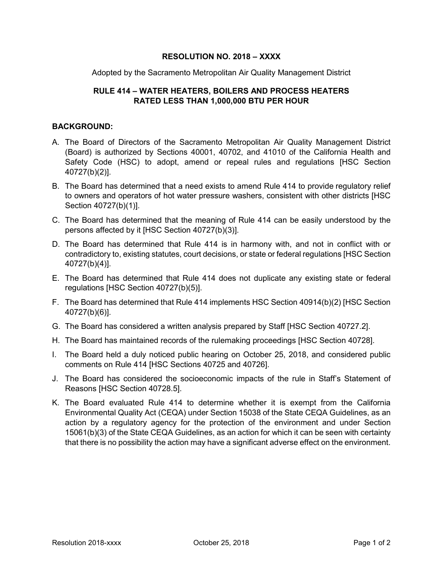## **RESOLUTION NO. 2018 – XXXX**

Adopted by the Sacramento Metropolitan Air Quality Management District

## **RULE 414 – WATER HEATERS, BOILERS AND PROCESS HEATERS RATED LESS THAN 1,000,000 BTU PER HOUR**

## **BACKGROUND:**

- A. The Board of Directors of the Sacramento Metropolitan Air Quality Management District (Board) is authorized by Sections 40001, 40702, and 41010 of the California Health and Safety Code (HSC) to adopt, amend or repeal rules and regulations [HSC Section 40727(b)(2)].
- B. The Board has determined that a need exists to amend Rule 414 to provide regulatory relief to owners and operators of hot water pressure washers, consistent with other districts [HSC Section 40727(b)(1)].
- C. The Board has determined that the meaning of Rule 414 can be easily understood by the persons affected by it [HSC Section 40727(b)(3)].
- D. The Board has determined that Rule 414 is in harmony with, and not in conflict with or contradictory to, existing statutes, court decisions, or state or federal regulations [HSC Section 40727(b)(4)].
- E. The Board has determined that Rule 414 does not duplicate any existing state or federal regulations [HSC Section 40727(b)(5)].
- F. The Board has determined that Rule 414 implements HSC Section 40914(b)(2) [HSC Section 40727(b)(6)].
- G. The Board has considered a written analysis prepared by Staff [HSC Section 40727.2].
- H. The Board has maintained records of the rulemaking proceedings [HSC Section 40728].
- I. The Board held a duly noticed public hearing on October 25, 2018, and considered public comments on Rule 414 [HSC Sections 40725 and 40726].
- J. The Board has considered the socioeconomic impacts of the rule in Staff's Statement of Reasons [HSC Section 40728.5].
- K. The Board evaluated Rule 414 to determine whether it is exempt from the California Environmental Quality Act (CEQA) under Section 15038 of the State CEQA Guidelines, as an action by a regulatory agency for the protection of the environment and under Section 15061(b)(3) of the State CEQA Guidelines, as an action for which it can be seen with certainty that there is no possibility the action may have a significant adverse effect on the environment.